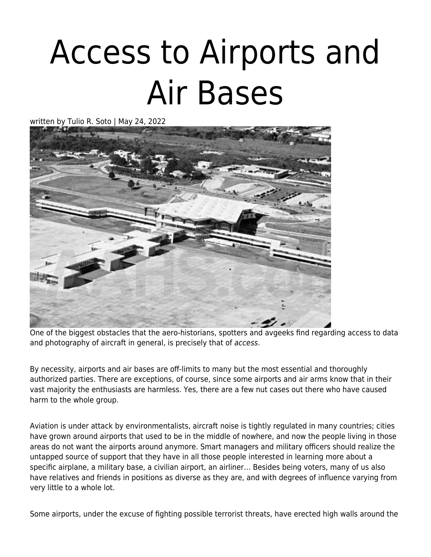## [Access to Airports and](https://www.laahs.com/spotting-access/) [Air Bases](https://www.laahs.com/spotting-access/)

written by Tulio R. Soto | May 24, 2022



One of the biggest obstacles that the aero-historians, spotters and avgeeks find regarding access to data and photography of aircraft in general, is precisely that of access.

By necessity, airports and air bases are off-limits to many but the most essential and thoroughly authorized parties. There are exceptions, of course, since some airports and air arms know that in their vast majority the enthusiasts are harmless. Yes, there are a few nut cases out there who have caused harm to the whole group.

Aviation is under attack by environmentalists, aircraft noise is tightly regulated in many countries; cities have grown around airports that used to be in the middle of nowhere, and now the people living in those areas do not want the airports around anymore. Smart managers and military officers should realize the untapped source of support that they have in all those people interested in learning more about a specific airplane, a military base, a civilian airport, an airliner… Besides being voters, many of us also have relatives and friends in positions as diverse as they are, and with degrees of influence varying from very little to a whole lot.

Some airports, under the excuse of fighting possible terrorist threats, have erected high walls around the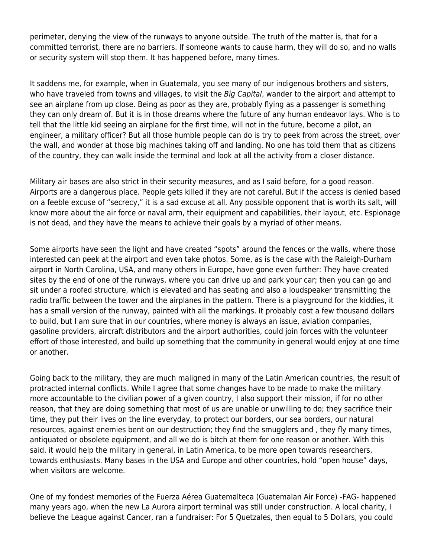perimeter, denying the view of the runways to anyone outside. The truth of the matter is, that for a committed terrorist, there are no barriers. If someone wants to cause harm, they will do so, and no walls or security system will stop them. It has happened before, many times.

It saddens me, for example, when in Guatemala, you see many of our indigenous brothers and sisters, who have traveled from towns and villages, to visit the Big Capital, wander to the airport and attempt to see an airplane from up close. Being as poor as they are, probably flying as a passenger is something they can only dream of. But it is in those dreams where the future of any human endeavor lays. Who is to tell that the little kid seeing an airplane for the first time, will not in the future, become a pilot, an engineer, a military officer? But all those humble people can do is try to peek from across the street, over the wall, and wonder at those big machines taking off and landing. No one has told them that as citizens of the country, they can walk inside the terminal and look at all the activity from a closer distance.

Military air bases are also strict in their security measures, and as I said before, for a good reason. Airports are a dangerous place. People gets killed if they are not careful. But if the access is denied based on a feeble excuse of "secrecy," it is a sad excuse at all. Any possible opponent that is worth its salt, will know more about the air force or naval arm, their equipment and capabilities, their layout, etc. Espionage is not dead, and they have the means to achieve their goals by a myriad of other means.

Some airports have seen the light and have created "spots" around the fences or the walls, where those interested can peek at the airport and even take photos. Some, as is the case with the Raleigh-Durham airport in North Carolina, USA, and many others in Europe, have gone even further: They have created sites by the end of one of the runways, where you can drive up and park your car; then you can go and sit under a roofed structure, which is elevated and has seating and also a loudspeaker transmitting the radio traffic between the tower and the airplanes in the pattern. There is a playground for the kiddies, it has a small version of the runway, painted with all the markings. It probably cost a few thousand dollars to build, but I am sure that in our countries, where money is always an issue, aviation companies, gasoline providers, aircraft distributors and the airport authorities, could join forces with the volunteer effort of those interested, and build up something that the community in general would enjoy at one time or another.

Going back to the military, they are much maligned in many of the Latin American countries, the result of protracted internal conflicts. While I agree that some changes have to be made to make the military more accountable to the civilian power of a given country, I also support their mission, if for no other reason, that they are doing something that most of us are unable or unwilling to do; they sacrifice their time, they put their lives on the line everyday, to protect our borders, our sea borders, our natural resources, against enemies bent on our destruction; they find the smugglers and , they fly many times, antiquated or obsolete equipment, and all we do is bitch at them for one reason or another. With this said, it would help the military in general, in Latin America, to be more open towards researchers, towards enthusiasts. Many bases in the USA and Europe and other countries, hold "open house" days, when visitors are welcome.

One of my fondest memories of the Fuerza Aérea Guatemalteca (Guatemalan Air Force) -FAG- happened many years ago, when the new La Aurora airport terminal was still under construction. A local charity, I believe the League against Cancer, ran a fundraiser: For 5 Quetzales, then equal to 5 Dollars, you could